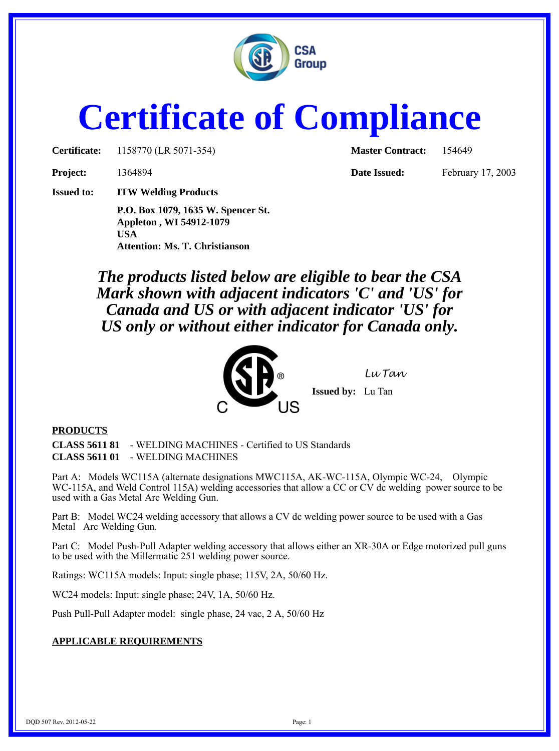

## **Certificate of Compliance**

**Certificate:** 1158770 (LR 5071-354) **Master Contract:** 154649

**Project:** 1364894 **Date Issued:** February 17, 2003

**Issued to: ITW Welding Products**

**P.O. Box 1079, 1635 W. Spencer St. Appleton , WI 54912-1079 USA Attention: Ms. T. Christianson**

*The products listed below are eligible to bear the CSA Mark shown with adjacent indicators 'C' and 'US' for Canada and US or with adjacent indicator 'US' for US only or without either indicator for Canada only.*



## **PRODUCTS**

**CLASS 5611 81** - WELDING MACHINES - Certified to US Standards **CLASS 5611 01** - WELDING MACHINES

Part A: Models WC115A (alternate designations MWC115A, AK-WC-115A, Olympic WC-24, Olympic WC-115A, and Weld Control 115A) welding accessories that allow a CC or CV dc welding power source to be used with a Gas Metal Arc Welding Gun.

Part B: Model WC24 welding accessory that allows a CV dc welding power source to be used with a Gas Metal Arc Welding Gun.

Part C: Model Push-Pull Adapter welding accessory that allows either an XR-30A or Edge motorized pull guns to be used with the Millermatic 251 welding power source.

Ratings: WC115A models: Input: single phase; 115V, 2A, 50/60 Hz.

WC24 models: Input: single phase; 24V, 1A, 50/60 Hz.

Push Pull-Pull Adapter model: single phase, 24 vac, 2 A, 50/60 Hz

## **APPLICABLE REQUIREMENTS**